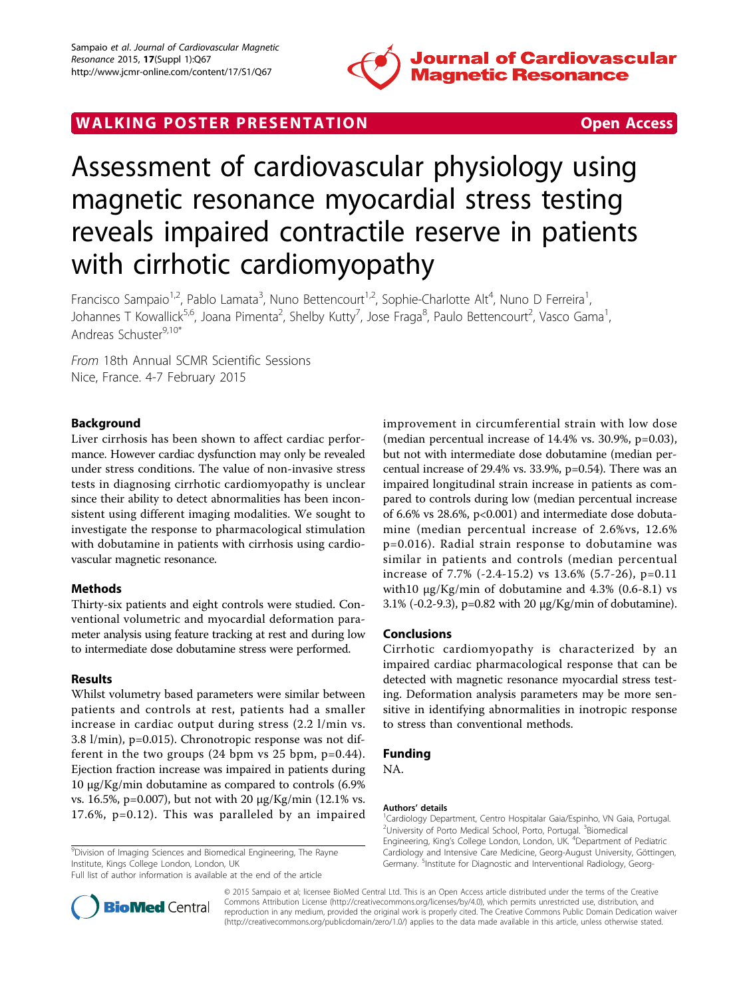

## WALKING POSTER PRESENTATION **SECURE 20 YO ACCESS**



# Assessment of cardiovascular physiology using magnetic resonance myocardial stress testing reveals impaired contractile reserve in patients with cirrhotic cardiomyopathy

Francisco Sampaio<sup>1,2</sup>, Pablo Lamata<sup>3</sup>, Nuno Bettencourt<sup>1,2</sup>, Sophie-Charlotte Alt<sup>4</sup>, Nuno D Ferreira<sup>1</sup> , Johannes T Kowallick<sup>5,6</sup>, Joana Pimenta<sup>2</sup>, Shelby Kutty<sup>7</sup>, Jose Fraga<sup>8</sup>, Paulo Bettencourt<sup>2</sup>, Vasco Gama<sup>1</sup> , Andreas Schuster9,10\*

From 18th Annual SCMR Scientific Sessions Nice, France. 4-7 February 2015

## Background

Liver cirrhosis has been shown to affect cardiac performance. However cardiac dysfunction may only be revealed under stress conditions. The value of non-invasive stress tests in diagnosing cirrhotic cardiomyopathy is unclear since their ability to detect abnormalities has been inconsistent using different imaging modalities. We sought to investigate the response to pharmacological stimulation with dobutamine in patients with cirrhosis using cardiovascular magnetic resonance.

### Methods

Thirty-six patients and eight controls were studied. Conventional volumetric and myocardial deformation parameter analysis using feature tracking at rest and during low to intermediate dose dobutamine stress were performed.

### Results

Whilst volumetry based parameters were similar between patients and controls at rest, patients had a smaller increase in cardiac output during stress (2.2 l/min vs. 3.8 l/min), p=0.015). Chronotropic response was not different in the two groups (24 bpm vs 25 bpm, p=0.44). Ejection fraction increase was impaired in patients during 10 μg/Kg/min dobutamine as compared to controls (6.9% vs. 16.5%, p=0.007), but not with 20 μg/Kg/min (12.1% vs. 17.6%, p=0.12). This was paralleled by an impaired

<sup>9</sup>Division of Imaging Sciences and Biomedical Engineering, The Rayne Institute, Kings College London, London, UK

Full list of author information is available at the end of the article



improvement in circumferential strain with low dose (median percentual increase of 14.4% vs. 30.9%, p=0.03), but not with intermediate dose dobutamine (median percentual increase of 29.4% vs. 33.9%, p=0.54). There was an impaired longitudinal strain increase in patients as compared to controls during low (median percentual increase of 6.6% vs 28.6%, p<0.001) and intermediate dose dobutamine (median percentual increase of 2.6%vs, 12.6% p=0.016). Radial strain response to dobutamine was similar in patients and controls (median percentual increase of 7.7% (-2.4-15.2) vs 13.6% (5.7-26), p=0.11 with10 μg/Kg/min of dobutamine and 4.3% (0.6-8.1) vs 3.1% (-0.2-9.3), p=0.82 with 20 μg/Kg/min of dobutamine).

#### Conclusions

Cirrhotic cardiomyopathy is characterized by an impaired cardiac pharmacological response that can be detected with magnetic resonance myocardial stress testing. Deformation analysis parameters may be more sensitive in identifying abnormalities in inotropic response to stress than conventional methods.

## Funding

NA.

#### Authors' details <sup>1</sup>

<sup>1</sup> Cardiology Department, Centro Hospitalar Gaia/Espinho, VN Gaia, Portugal. <sup>2</sup>University of Porto Medical School, Porto, Portugal. <sup>3</sup>Biomedical Engineering, King's College London, London, UK. <sup>4</sup>Department of Pediatric Cardiology and Intensive Care Medicine, Georg-August University, Göttingen, Germany. <sup>5</sup>Institute for Diagnostic and Interventional Radiology, Georg-

© 2015 Sampaio et al; licensee BioMed Central Ltd. This is an Open Access article distributed under the terms of the Creative Commons Attribution License [\(http://creativecommons.org/licenses/by/4.0](http://creativecommons.org/licenses/by/4.0)), which permits unrestricted use, distribution, and reproduction in any medium, provided the original work is properly cited. The Creative Commons Public Domain Dedication waiver [\(http://creativecommons.org/publicdomain/zero/1.0/](http://creativecommons.org/publicdomain/zero/1.0/)) applies to the data made available in this article, unless otherwise stated.